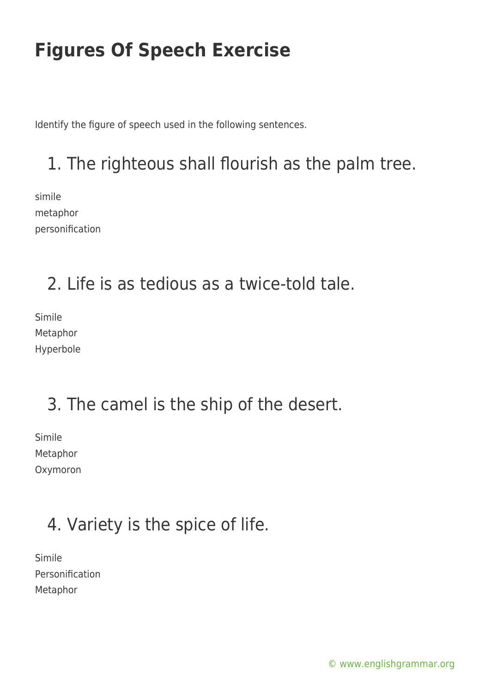Identify the figure of speech used in the following sentences.

## 1. The righteous shall flourish as the palm tree.

simile metaphor personification

#### 2. Life is as tedious as a twice-told tale.

Simile Metaphor Hyperbole

## 3. The camel is the ship of the desert.

Simile Metaphor Oxymoron

## 4. Variety is the spice of life.

Simile Personification Metaphor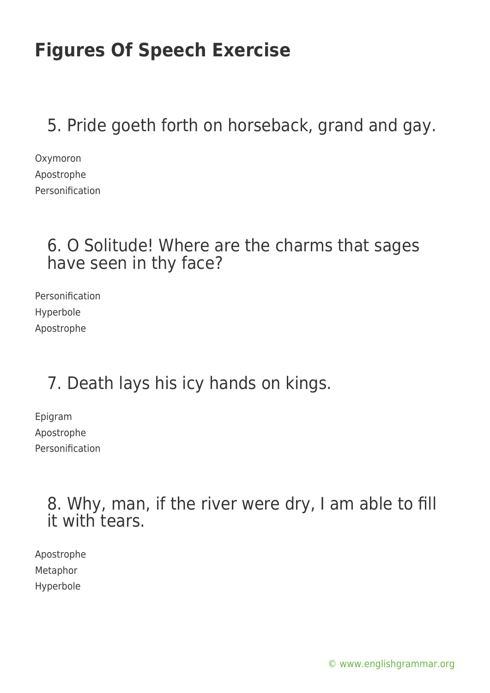5. Pride goeth forth on horseback, grand and gay.

Oxymoron Apostrophe Personification

#### 6. O Solitude! Where are the charms that sages have seen in thy face?

Personification Hyperbole Apostrophe

## 7. Death lays his icy hands on kings.

Epigram Apostrophe Personification

> 8. Why, man, if the river were dry, I am able to fill it with tears.

Apostrophe Metaphor Hyperbole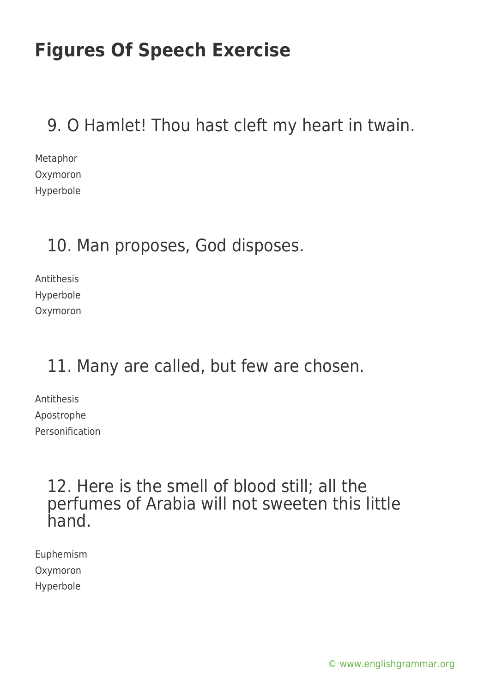### 9. O Hamlet! Thou hast cleft my heart in twain.

Metaphor Oxymoron Hyperbole

### 10. Man proposes, God disposes.

Antithesis Hyperbole Oxymoron

#### 11. Many are called, but few are chosen.

Antithesis Apostrophe Personification

#### 12. Here is the smell of blood still; all the perfumes of Arabia will not sweeten this little hand.

Euphemism Oxymoron Hyperbole